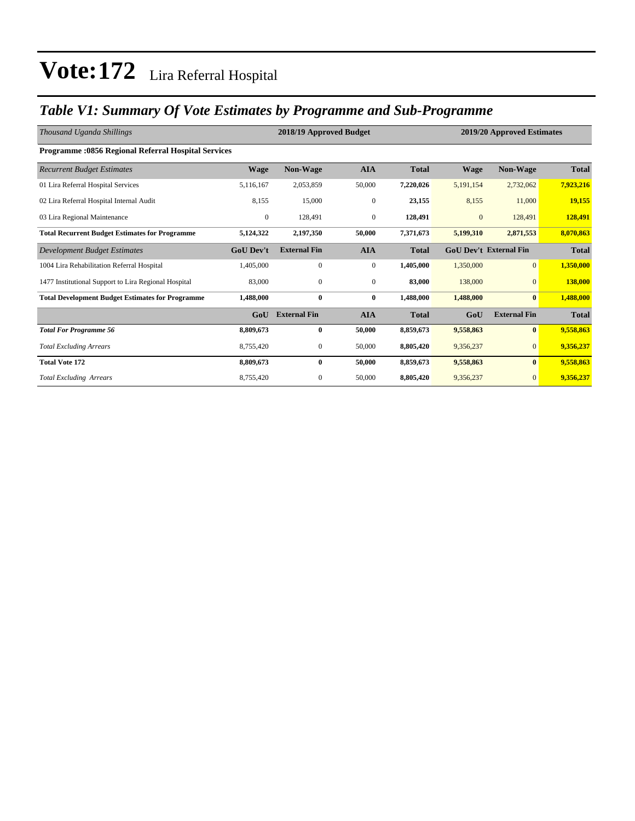### *Table V1: Summary Of Vote Estimates by Programme and Sub-Programme*

| Thousand Uganda Shillings                                  |                  | 2018/19 Approved Budget |              |              |              | 2019/20 Approved Estimates    |              |  |  |
|------------------------------------------------------------|------------------|-------------------------|--------------|--------------|--------------|-------------------------------|--------------|--|--|
| <b>Programme: 0856 Regional Referral Hospital Services</b> |                  |                         |              |              |              |                               |              |  |  |
| <b>Recurrent Budget Estimates</b>                          | <b>Wage</b>      | Non-Wage                | <b>AIA</b>   | <b>Total</b> | <b>Wage</b>  | Non-Wage                      | <b>Total</b> |  |  |
| 01 Lira Referral Hospital Services                         | 5,116,167        | 2,053,859               | 50,000       | 7,220,026    | 5,191,154    | 2,732,062                     | 7,923,216    |  |  |
| 02 Lira Referral Hospital Internal Audit                   | 8,155            | 15,000                  | $\mathbf{0}$ | 23,155       | 8,155        | 11,000                        | 19,155       |  |  |
| 03 Lira Regional Maintenance                               | $\overline{0}$   | 128,491                 | $\mathbf{0}$ | 128,491      | $\mathbf{0}$ | 128,491                       | 128,491      |  |  |
| <b>Total Recurrent Budget Estimates for Programme</b>      | 5,124,322        | 2,197,350               | 50,000       | 7,371,673    | 5,199,310    | 2,871,553                     | 8,070,863    |  |  |
| Development Budget Estimates                               | <b>GoU Dev't</b> | <b>External Fin</b>     | <b>AIA</b>   | <b>Total</b> |              | <b>GoU Dev't External Fin</b> | <b>Total</b> |  |  |
| 1004 Lira Rehabilitation Referral Hospital                 | 1,405,000        | $\mathbf{0}$            | $\mathbf{0}$ | 1,405,000    | 1,350,000    | $\overline{0}$                | 1,350,000    |  |  |
| 1477 Institutional Support to Lira Regional Hospital       | 83,000           | $\mathbf{0}$            | $\mathbf{0}$ | 83,000       | 138,000      | $\overline{0}$                | 138,000      |  |  |
| <b>Total Development Budget Estimates for Programme</b>    | 1,488,000        | $\bf{0}$                | $\bf{0}$     | 1,488,000    | 1,488,000    | $\bf{0}$                      | 1,488,000    |  |  |
|                                                            | GoU              | <b>External Fin</b>     | <b>AIA</b>   | <b>Total</b> | GoU          | <b>External Fin</b>           | <b>Total</b> |  |  |
| <b>Total For Programme 56</b>                              | 8,809,673        | $\bf{0}$                | 50,000       | 8,859,673    | 9,558,863    | $\bf{0}$                      | 9,558,863    |  |  |
| <b>Total Excluding Arrears</b>                             | 8,755,420        | $\mathbf{0}$            | 50,000       | 8,805,420    | 9,356,237    | $\overline{0}$                | 9,356,237    |  |  |
| <b>Total Vote 172</b>                                      | 8,809,673        | $\bf{0}$                | 50,000       | 8,859,673    | 9,558,863    | $\bf{0}$                      | 9,558,863    |  |  |
| <b>Total Excluding Arrears</b>                             | 8,755,420        | $\mathbf{0}$            | 50,000       | 8,805,420    | 9,356,237    | $\overline{0}$                | 9,356,237    |  |  |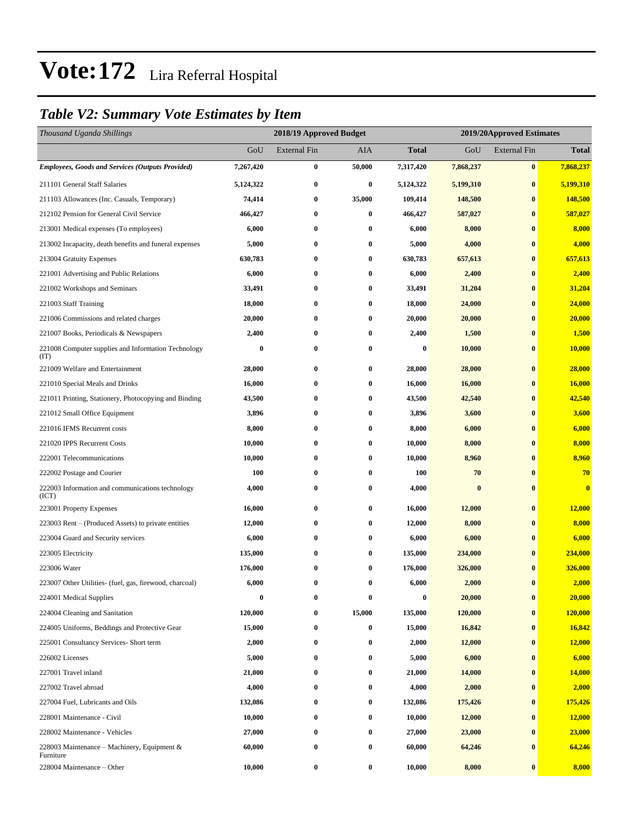### *Table V2: Summary Vote Estimates by Item*

| Thousand Uganda Shillings                                   |           | 2018/19 Approved Budget |          |                  |           | 2019/20Approved Estimates |              |
|-------------------------------------------------------------|-----------|-------------------------|----------|------------------|-----------|---------------------------|--------------|
|                                                             | GoU       | <b>External Fin</b>     | AIA      | Total            | GoU       | <b>External Fin</b>       | <b>Total</b> |
| <b>Employees, Goods and Services (Outputs Provided)</b>     | 7,267,420 | $\bf{0}$                | 50,000   | 7,317,420        | 7,868,237 | $\bf{0}$                  | 7,868,237    |
| 211101 General Staff Salaries                               | 5,124,322 | $\bf{0}$                | $\bf{0}$ | 5,124,322        | 5,199,310 | $\bf{0}$                  | 5,199,310    |
| 211103 Allowances (Inc. Casuals, Temporary)                 | 74,414    | $\bf{0}$                | 35,000   | 109,414          | 148,500   | $\bf{0}$                  | 148,500      |
| 212102 Pension for General Civil Service                    | 466,427   | $\bf{0}$                | $\bf{0}$ | 466,427          | 587,027   | $\bf{0}$                  | 587,027      |
| 213001 Medical expenses (To employees)                      | 6,000     | $\bf{0}$                | $\bf{0}$ | 6,000            | 8,000     | $\bf{0}$                  | 8,000        |
| 213002 Incapacity, death benefits and funeral expenses      | 5,000     | $\bf{0}$                | $\bf{0}$ | 5,000            | 4,000     | $\bf{0}$                  | 4,000        |
| 213004 Gratuity Expenses                                    | 630,783   | $\bf{0}$                | $\bf{0}$ | 630,783          | 657,613   | $\bf{0}$                  | 657,613      |
| 221001 Advertising and Public Relations                     | 6,000     | $\bf{0}$                | $\bf{0}$ | 6,000            | 2,400     | $\bf{0}$                  | 2,400        |
| 221002 Workshops and Seminars                               | 33,491    | $\bf{0}$                | $\bf{0}$ | 33,491           | 31,204    | $\bf{0}$                  | 31,204       |
| 221003 Staff Training                                       | 18,000    | $\bf{0}$                | $\bf{0}$ | 18,000           | 24,000    | $\bf{0}$                  | 24,000       |
| 221006 Commissions and related charges                      | 20,000    | $\bf{0}$                | $\bf{0}$ | 20,000           | 20,000    | $\bf{0}$                  | 20,000       |
| 221007 Books, Periodicals & Newspapers                      | 2,400     | $\bf{0}$                | $\bf{0}$ | 2,400            | 1,500     | $\bf{0}$                  | 1,500        |
| 221008 Computer supplies and Information Technology<br>(TT) | 0         | $\bf{0}$                | $\bf{0}$ | $\bf{0}$         | 10,000    | $\bf{0}$                  | 10,000       |
| 221009 Welfare and Entertainment                            | 28,000    | $\bf{0}$                | $\bf{0}$ | 28,000           | 28,000    | $\bf{0}$                  | 28,000       |
| 221010 Special Meals and Drinks                             | 16,000    | $\bf{0}$                | $\bf{0}$ | 16,000           | 16,000    | $\bf{0}$                  | 16,000       |
| 221011 Printing, Stationery, Photocopying and Binding       | 43,500    | $\bf{0}$                | $\bf{0}$ | 43,500           | 42,540    | $\bf{0}$                  | 42,540       |
| 221012 Small Office Equipment                               | 3,896     | $\bf{0}$                | $\bf{0}$ | 3,896            | 3,600     | $\bf{0}$                  | 3,600        |
| 221016 IFMS Recurrent costs                                 | 8,000     | $\bf{0}$                | $\bf{0}$ | 8,000            | 6,000     | $\bf{0}$                  | 6,000        |
| 221020 IPPS Recurrent Costs                                 | 10,000    | $\bf{0}$                | $\bf{0}$ | 10,000           | 8,000     | $\bf{0}$                  | 8,000        |
| 222001 Telecommunications                                   | 10,000    | $\bf{0}$                | $\bf{0}$ | 10,000           | 8,960     | $\bf{0}$                  | 8,960        |
| 222002 Postage and Courier                                  | 100       | $\bf{0}$                | $\bf{0}$ | 100              | 70        | $\bf{0}$                  | 70           |
| 222003 Information and communications technology<br>(ICT)   | 4,000     | $\bf{0}$                | $\bf{0}$ | 4,000            | $\bf{0}$  | $\bf{0}$                  | $\bf{0}$     |
| 223001 Property Expenses                                    | 16,000    | $\bf{0}$                | $\bf{0}$ | 16,000           | 12,000    | $\bf{0}$                  | 12,000       |
| 223003 Rent – (Produced Assets) to private entities         | 12,000    | $\bf{0}$                | $\bf{0}$ | 12,000           | 8,000     | $\bf{0}$                  | 8,000        |
| 223004 Guard and Security services                          | 6,000     | $\bf{0}$                | $\bf{0}$ | 6,000            | 6,000     | $\bf{0}$                  | 6,000        |
| 223005 Electricity                                          | 135,000   | 0                       | $\bf{0}$ | 135,000          | 234,000   | $\bf{0}$                  | 234,000      |
| 223006 Water                                                | 176,000   | $\bf{0}$                | $\bf{0}$ | 176,000          | 326,000   | $\bf{0}$                  | 326,000      |
| 223007 Other Utilities- (fuel, gas, firewood, charcoal)     | 6,000     | $\bf{0}$                | $\bf{0}$ | 6,000            | 2,000     | $\bf{0}$                  | 2,000        |
| 224001 Medical Supplies                                     | $\bf{0}$  | $\bf{0}$                | $\bf{0}$ | $\boldsymbol{0}$ | 20,000    | $\bf{0}$                  | 20,000       |
| 224004 Cleaning and Sanitation                              | 120,000   | 0                       | 15,000   | 135,000          | 120,000   | $\bf{0}$                  | 120,000      |
| 224005 Uniforms, Beddings and Protective Gear               | 15,000    | $\bf{0}$                | $\bf{0}$ | 15,000           | 16,842    | $\bf{0}$                  | 16,842       |
| 225001 Consultancy Services- Short term                     | 2,000     | $\bf{0}$                | $\bf{0}$ | 2,000            | 12,000    | $\bf{0}$                  | 12,000       |
| 226002 Licenses                                             | 5,000     | $\bf{0}$                | $\bf{0}$ | 5,000            | 6,000     | $\bf{0}$                  | 6,000        |
| 227001 Travel inland                                        | 21,000    | $\bf{0}$                | $\bf{0}$ | 21,000           | 14,000    | $\bf{0}$                  | 14,000       |
| 227002 Travel abroad                                        | 4,000     | 0                       | $\bf{0}$ | 4,000            | 2,000     | $\bf{0}$                  | 2,000        |
| 227004 Fuel, Lubricants and Oils                            | 132,086   | $\bf{0}$                | $\bf{0}$ | 132,086          | 175,426   | $\bf{0}$                  | 175,426      |
| 228001 Maintenance - Civil                                  | 10,000    | $\bf{0}$                | $\bf{0}$ | 10,000           | 12,000    | $\bf{0}$                  | 12,000       |
| 228002 Maintenance - Vehicles                               | 27,000    | $\bf{0}$                | $\bf{0}$ | 27,000           | 23,000    | $\bf{0}$                  | 23,000       |
| 228003 Maintenance – Machinery, Equipment &<br>Furniture    | 60,000    | $\bf{0}$                | $\bf{0}$ | 60,000           | 64,246    | $\bf{0}$                  | 64,246       |
| 228004 Maintenance - Other                                  | 10,000    | $\boldsymbol{0}$        | $\bf{0}$ | 10,000           | 8,000     | $\bf{0}$                  | 8,000        |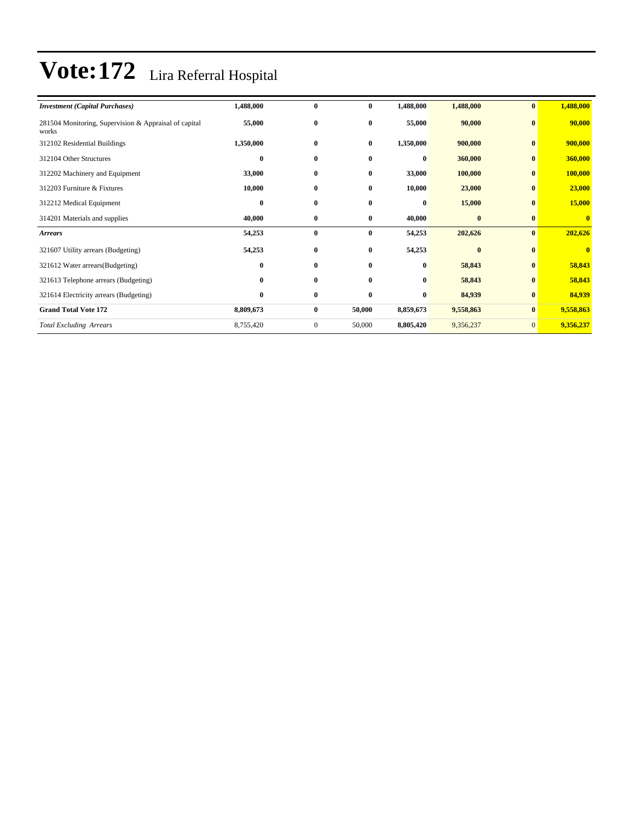| <b>Investment</b> (Capital Purchases)                          | 1,488,000 | $\bf{0}$     | $\bf{0}$     | 1,488,000 | 1,488,000    | $\bf{0}$       | 1,488,000    |
|----------------------------------------------------------------|-----------|--------------|--------------|-----------|--------------|----------------|--------------|
| 281504 Monitoring, Supervision & Appraisal of capital<br>works | 55,000    | $\bf{0}$     | $\bf{0}$     | 55,000    | 90,000       | $\bf{0}$       | 90,000       |
| 312102 Residential Buildings                                   | 1,350,000 | $\bf{0}$     | $\bf{0}$     | 1,350,000 | 900,000      | $\mathbf{0}$   | 900,000      |
| 312104 Other Structures                                        | $\bf{0}$  | $\bf{0}$     | $\bf{0}$     | $\bf{0}$  | 360,000      | $\bf{0}$       | 360,000      |
| 312202 Machinery and Equipment                                 | 33,000    | $\bf{0}$     | $\bf{0}$     | 33,000    | 100,000      | $\bf{0}$       | 100,000      |
| 312203 Furniture & Fixtures                                    | 10,000    | $\bf{0}$     | $\bf{0}$     | 10,000    | 23,000       | $\bf{0}$       | 23,000       |
| 312212 Medical Equipment                                       | $\bf{0}$  | $\bf{0}$     | $\bf{0}$     | $\bf{0}$  | 15,000       | $\bf{0}$       | 15,000       |
| 314201 Materials and supplies                                  | 40,000    | $\bf{0}$     | $\bf{0}$     | 40,000    | $\bf{0}$     | $\bf{0}$       | $\mathbf{0}$ |
| <b>Arrears</b>                                                 | 54,253    | $\bf{0}$     | $\bf{0}$     | 54,253    | 202,626      | $\bf{0}$       | 202,626      |
| 321607 Utility arrears (Budgeting)                             | 54,253    | $\bf{0}$     | $\bf{0}$     | 54,253    | $\mathbf{0}$ | $\bf{0}$       | $\mathbf{0}$ |
| 321612 Water arrears(Budgeting)                                | $\bf{0}$  | $\bf{0}$     | $\mathbf{0}$ | $\bf{0}$  | 58,843       | $\mathbf{0}$   | 58,843       |
| 321613 Telephone arrears (Budgeting)                           | $\bf{0}$  | $\bf{0}$     | $\bf{0}$     | $\bf{0}$  | 58,843       | $\bf{0}$       | 58,843       |
| 321614 Electricity arrears (Budgeting)                         | $\bf{0}$  | $\bf{0}$     | $\bf{0}$     | $\bf{0}$  | 84,939       | $\bf{0}$       | 84,939       |
| <b>Grand Total Vote 172</b>                                    | 8,809,673 | $\bf{0}$     | 50,000       | 8,859,673 | 9,558,863    | $\bf{0}$       | 9,558,863    |
| <b>Total Excluding Arrears</b>                                 | 8,755,420 | $\mathbf{0}$ | 50,000       | 8,805,420 | 9,356,237    | $\overline{0}$ | 9,356,237    |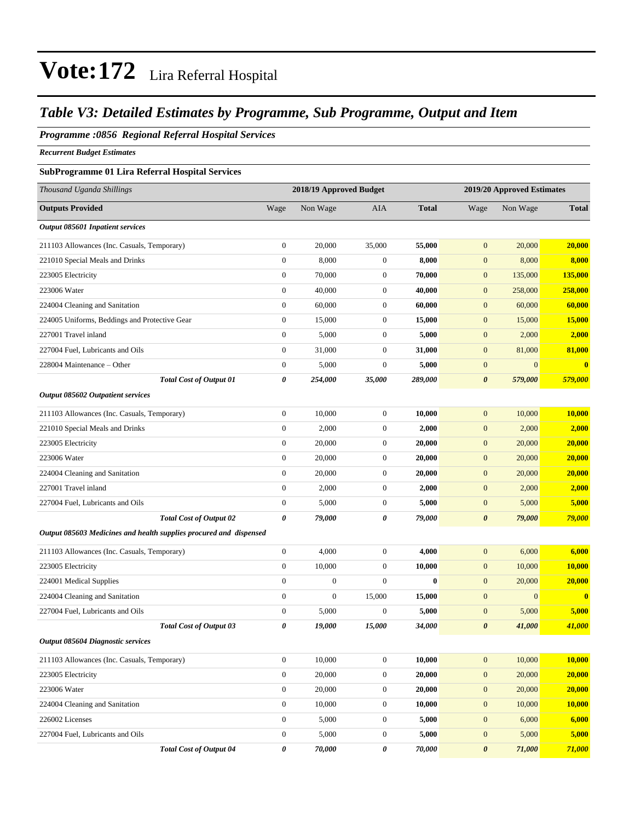### *Table V3: Detailed Estimates by Programme, Sub Programme, Output and Item*

### *Programme :0856 Regional Referral Hospital Services*

*Recurrent Budget Estimates*

### **SubProgramme 01 Lira Referral Hospital Services**

| Thousand Uganda Shillings                                          |                  | 2018/19 Approved Budget |                  |              |                       | 2019/20 Approved Estimates |               |
|--------------------------------------------------------------------|------------------|-------------------------|------------------|--------------|-----------------------|----------------------------|---------------|
| <b>Outputs Provided</b>                                            | Wage             | Non Wage                | AIA              | <b>Total</b> | Wage                  | Non Wage                   | <b>Total</b>  |
| <b>Output 085601 Inpatient services</b>                            |                  |                         |                  |              |                       |                            |               |
| 211103 Allowances (Inc. Casuals, Temporary)                        | $\boldsymbol{0}$ | 20,000                  | 35,000           | 55,000       | $\mathbf{0}$          | 20,000                     | 20,000        |
| 221010 Special Meals and Drinks                                    | $\boldsymbol{0}$ | 8,000                   | $\mathbf{0}$     | 8,000        | $\boldsymbol{0}$      | 8,000                      | 8,000         |
| 223005 Electricity                                                 | $\boldsymbol{0}$ | 70,000                  | $\mathbf{0}$     | 70,000       | $\mathbf{0}$          | 135,000                    | 135,000       |
| 223006 Water                                                       | $\boldsymbol{0}$ | 40,000                  | $\boldsymbol{0}$ | 40,000       | $\mathbf{0}$          | 258,000                    | 258,000       |
| 224004 Cleaning and Sanitation                                     | $\boldsymbol{0}$ | 60,000                  | $\boldsymbol{0}$ | 60,000       | $\boldsymbol{0}$      | 60,000                     | 60,000        |
| 224005 Uniforms, Beddings and Protective Gear                      | $\boldsymbol{0}$ | 15,000                  | $\mathbf{0}$     | 15,000       | $\boldsymbol{0}$      | 15,000                     | <b>15,000</b> |
| 227001 Travel inland                                               | $\boldsymbol{0}$ | 5,000                   | $\mathbf{0}$     | 5,000        | $\boldsymbol{0}$      | 2,000                      | 2,000         |
| 227004 Fuel, Lubricants and Oils                                   | $\boldsymbol{0}$ | 31,000                  | $\mathbf{0}$     | 31,000       | $\mathbf{0}$          | 81,000                     | 81,000        |
| 228004 Maintenance – Other                                         | $\boldsymbol{0}$ | 5,000                   | $\mathbf{0}$     | 5,000        | $\boldsymbol{0}$      | $\mathbf{0}$               | $\bf{0}$      |
| <b>Total Cost of Output 01</b>                                     | 0                | 254,000                 | 35,000           | 289,000      | $\boldsymbol{\theta}$ | 579,000                    | 579,000       |
| Output 085602 Outpatient services                                  |                  |                         |                  |              |                       |                            |               |
| 211103 Allowances (Inc. Casuals, Temporary)                        | $\boldsymbol{0}$ | 10,000                  | $\mathbf{0}$     | 10,000       | $\boldsymbol{0}$      | 10,000                     | 10,000        |
| 221010 Special Meals and Drinks                                    | $\boldsymbol{0}$ | 2,000                   | $\boldsymbol{0}$ | 2,000        | $\boldsymbol{0}$      | 2,000                      | 2,000         |
| 223005 Electricity                                                 | $\boldsymbol{0}$ | 20,000                  | $\mathbf{0}$     | 20,000       | $\boldsymbol{0}$      | 20,000                     | 20,000        |
| 223006 Water                                                       | $\boldsymbol{0}$ | 20,000                  | $\boldsymbol{0}$ | 20,000       | $\boldsymbol{0}$      | 20,000                     | 20,000        |
| 224004 Cleaning and Sanitation                                     | $\boldsymbol{0}$ | 20,000                  | $\mathbf{0}$     | 20.000       | $\mathbf{0}$          | 20,000                     | 20,000        |
| 227001 Travel inland                                               | $\boldsymbol{0}$ | 2,000                   | $\boldsymbol{0}$ | 2,000        | $\boldsymbol{0}$      | 2,000                      | 2,000         |
| 227004 Fuel, Lubricants and Oils                                   | $\boldsymbol{0}$ | 5,000                   | $\boldsymbol{0}$ | 5,000        | $\boldsymbol{0}$      | 5,000                      | 5,000         |
| <b>Total Cost of Output 02</b>                                     | 0                | 79,000                  | 0                | 79,000       | $\boldsymbol{\theta}$ | 79,000                     | 79,000        |
| Output 085603 Medicines and health supplies procured and dispensed |                  |                         |                  |              |                       |                            |               |
| 211103 Allowances (Inc. Casuals, Temporary)                        | $\boldsymbol{0}$ | 4,000                   | $\boldsymbol{0}$ | 4,000        | $\mathbf{0}$          | 6,000                      | 6,000         |
| 223005 Electricity                                                 | $\boldsymbol{0}$ | 10,000                  | $\boldsymbol{0}$ | 10,000       | $\boldsymbol{0}$      | 10,000                     | 10,000        |
| 224001 Medical Supplies                                            | $\overline{0}$   | $\boldsymbol{0}$        | $\overline{0}$   | $\mathbf{0}$ | $\boldsymbol{0}$      | 20,000                     | 20,000        |
| 224004 Cleaning and Sanitation                                     | $\boldsymbol{0}$ | $\boldsymbol{0}$        | 15,000           | 15,000       | $\boldsymbol{0}$      | $\overline{0}$             | $\mathbf{0}$  |
| 227004 Fuel, Lubricants and Oils                                   | $\boldsymbol{0}$ | 5,000                   | $\boldsymbol{0}$ | 5,000        | $\mathbf{0}$          | 5,000                      | 5,000         |
| <b>Total Cost of Output 03</b>                                     | 0                | 19,000                  | 15,000           | 34,000       | $\boldsymbol{\theta}$ | 41,000                     | 41,000        |
| Output 085604 Diagnostic services                                  |                  |                         |                  |              |                       |                            |               |
| 211103 Allowances (Inc. Casuals, Temporary)                        | $\boldsymbol{0}$ | 10.000                  | $\boldsymbol{0}$ | 10,000       | $\mathbf{0}$          | 10,000                     | 10,000        |
| 223005 Electricity                                                 | $\boldsymbol{0}$ | 20,000                  | $\boldsymbol{0}$ | 20,000       | $\boldsymbol{0}$      | 20,000                     | 20,000        |
| 223006 Water                                                       | $\boldsymbol{0}$ | 20,000                  | $\boldsymbol{0}$ | 20,000       | $\boldsymbol{0}$      | 20,000                     | 20,000        |
| 224004 Cleaning and Sanitation                                     | $\overline{0}$   | 10,000                  | $\boldsymbol{0}$ | 10,000       | $\mathbf{0}$          | 10,000                     | 10,000        |
| 226002 Licenses                                                    | $\boldsymbol{0}$ | 5,000                   | $\boldsymbol{0}$ | 5,000        | $\boldsymbol{0}$      | 6,000                      | 6,000         |
| 227004 Fuel, Lubricants and Oils                                   | $\boldsymbol{0}$ | 5,000                   | $\boldsymbol{0}$ | 5,000        | $\boldsymbol{0}$      | 5,000                      | 5,000         |
| <b>Total Cost of Output 04</b>                                     | 0                | 70,000                  | 0                | 70,000       | $\boldsymbol{\theta}$ | 71,000                     | 71,000        |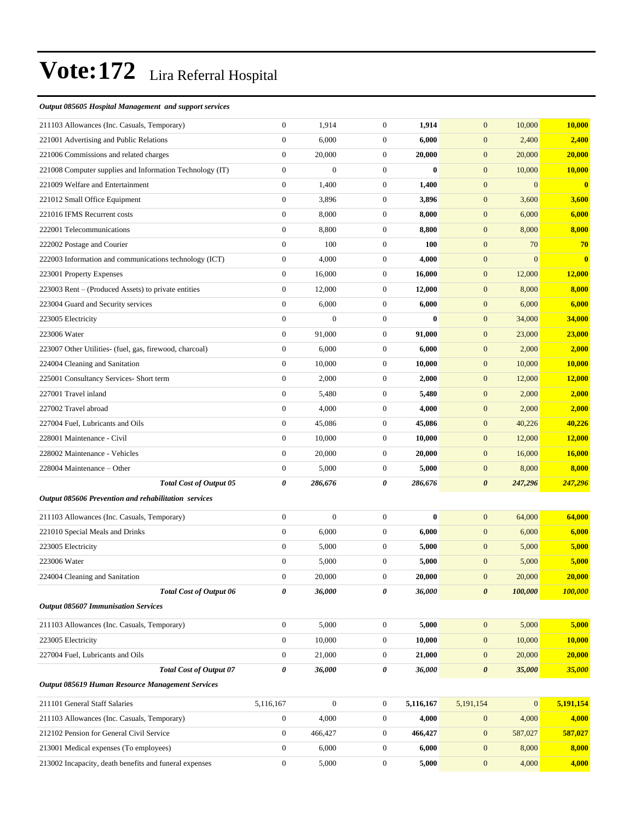#### *Output 085605 Hospital Management and support services*

| 211103 Allowances (Inc. Casuals, Temporary)              | $\boldsymbol{0}$ | 1,914            | $\mathbf{0}$     | 1,914     | $\mathbf{0}$          | 10,000         | 10,000    |
|----------------------------------------------------------|------------------|------------------|------------------|-----------|-----------------------|----------------|-----------|
| 221001 Advertising and Public Relations                  | $\mathbf{0}$     | 6,000            | $\boldsymbol{0}$ | 6,000     | $\mathbf{0}$          | 2,400          | 2,400     |
| 221006 Commissions and related charges                   | $\boldsymbol{0}$ | 20,000           | $\mathbf{0}$     | 20,000    | $\boldsymbol{0}$      | 20,000         | 20,000    |
| 221008 Computer supplies and Information Technology (IT) | $\boldsymbol{0}$ | $\overline{0}$   | $\mathbf{0}$     | $\bf{0}$  | $\mathbf{0}$          | 10,000         | 10,000    |
| 221009 Welfare and Entertainment                         | $\boldsymbol{0}$ | 1,400            | $\mathbf{0}$     | 1,400     | $\mathbf{0}$          | $\overline{0}$ | $\bf{0}$  |
| 221012 Small Office Equipment                            | $\boldsymbol{0}$ | 3,896            | $\mathbf{0}$     | 3,896     | $\boldsymbol{0}$      | 3,600          | 3,600     |
| 221016 IFMS Recurrent costs                              | $\boldsymbol{0}$ | 8,000            | $\mathbf{0}$     | 8,000     | $\boldsymbol{0}$      | 6,000          | 6,000     |
| 222001 Telecommunications                                | $\boldsymbol{0}$ | 8,800            | $\mathbf{0}$     | 8,800     | $\boldsymbol{0}$      | 8,000          | 8,000     |
| 222002 Postage and Courier                               | $\overline{0}$   | 100              | $\mathbf{0}$     | 100       | $\boldsymbol{0}$      | 70             | 70        |
| 222003 Information and communications technology (ICT)   | $\boldsymbol{0}$ | 4,000            | $\mathbf{0}$     | 4,000     | $\mathbf{0}$          | $\mathbf{0}$   | $\bf{0}$  |
| 223001 Property Expenses                                 | $\boldsymbol{0}$ | 16,000           | $\mathbf{0}$     | 16,000    | $\boldsymbol{0}$      | 12,000         | 12,000    |
| 223003 Rent – (Produced Assets) to private entities      | $\mathbf{0}$     | 12,000           | $\boldsymbol{0}$ | 12,000    | $\mathbf{0}$          | 8,000          | 8,000     |
| 223004 Guard and Security services                       | $\boldsymbol{0}$ | 6,000            | $\mathbf{0}$     | 6,000     | $\boldsymbol{0}$      | 6,000          | 6,000     |
| 223005 Electricity                                       | $\overline{0}$   | $\overline{0}$   | $\mathbf{0}$     | $\bf{0}$  | $\mathbf{0}$          | 34,000         | 34,000    |
| 223006 Water                                             | $\boldsymbol{0}$ | 91,000           | $\mathbf{0}$     | 91,000    | $\mathbf{0}$          | 23,000         | 23,000    |
| 223007 Other Utilities- (fuel, gas, firewood, charcoal)  | $\boldsymbol{0}$ | 6,000            | $\mathbf{0}$     | 6,000     | $\boldsymbol{0}$      | 2,000          | 2,000     |
| 224004 Cleaning and Sanitation                           | $\mathbf{0}$     | 10,000           | $\mathbf{0}$     | 10,000    | $\boldsymbol{0}$      | 10,000         | 10,000    |
| 225001 Consultancy Services- Short term                  | $\boldsymbol{0}$ | 2,000            | $\mathbf{0}$     | 2,000     | $\boldsymbol{0}$      | 12,000         | 12,000    |
| 227001 Travel inland                                     | $\boldsymbol{0}$ | 5,480            | $\mathbf{0}$     | 5,480     | $\mathbf{0}$          | 2,000          | 2,000     |
| 227002 Travel abroad                                     | $\boldsymbol{0}$ | 4,000            | $\mathbf{0}$     | 4,000     | $\mathbf{0}$          | 2,000          | 2,000     |
| 227004 Fuel, Lubricants and Oils                         | $\boldsymbol{0}$ | 45,086           | $\mathbf{0}$     | 45,086    | $\boldsymbol{0}$      | 40,226         | 40,226    |
| 228001 Maintenance - Civil                               | $\mathbf{0}$     | 10,000           | $\mathbf{0}$     | 10,000    | $\mathbf{0}$          | 12,000         | 12,000    |
| 228002 Maintenance - Vehicles                            | $\boldsymbol{0}$ | 20,000           | $\mathbf{0}$     | 20,000    | $\boldsymbol{0}$      | 16,000         | 16,000    |
| 228004 Maintenance – Other                               | $\boldsymbol{0}$ | 5,000            | $\mathbf{0}$     | 5,000     | $\mathbf{0}$          | 8,000          | 8,000     |
| <b>Total Cost of Output 05</b>                           | 0                | 286,676          | 0                | 286,676   | $\boldsymbol{\theta}$ | 247,296        | 247,296   |
| Output 085606 Prevention and rehabilitation services     |                  |                  |                  |           |                       |                |           |
| 211103 Allowances (Inc. Casuals, Temporary)              | $\boldsymbol{0}$ | $\overline{0}$   | $\boldsymbol{0}$ | $\bf{0}$  | $\mathbf{0}$          | 64,000         | 64,000    |
| 221010 Special Meals and Drinks                          | $\boldsymbol{0}$ | 6,000            | $\mathbf{0}$     | 6,000     | $\mathbf{0}$          | 6,000          | 6,000     |
| 223005 Electricity                                       | $\boldsymbol{0}$ | 5,000            | $\mathbf{0}$     | 5,000     | $\mathbf{0}$          | 5,000          | 5,000     |
| 223006 Water                                             | $\boldsymbol{0}$ | 5,000            | $\mathbf{0}$     | 5,000     | $\mathbf{0}$          | 5,000          | 5,000     |
| 224004 Cleaning and Sanitation                           | 0                | 20,000           | $\mathbf{0}$     | 20,000    | $\boldsymbol{0}$      | 20,000         | 20,000    |
| Total Cost of Output 06                                  | 0                | 36,000           | 0                | 36,000    | $\boldsymbol{\theta}$ | 100,000        | 100,000   |
| <b>Output 085607 Immunisation Services</b>               |                  |                  |                  |           |                       |                |           |
| 211103 Allowances (Inc. Casuals, Temporary)              | $\boldsymbol{0}$ | 5,000            | $\boldsymbol{0}$ | 5,000     | $\boldsymbol{0}$      | 5,000          | 5,000     |
| 223005 Electricity                                       | $\boldsymbol{0}$ | 10,000           | $\boldsymbol{0}$ | 10,000    | $\boldsymbol{0}$      | 10,000         | 10,000    |
| 227004 Fuel, Lubricants and Oils                         | $\boldsymbol{0}$ | 21,000           | $\boldsymbol{0}$ | 21,000    | $\mathbf{0}$          | 20,000         | 20,000    |
| <b>Total Cost of Output 07</b>                           | 0                | 36,000           | 0                | 36,000    | $\boldsymbol{\theta}$ | 35,000         | 35,000    |
| <b>Output 085619 Human Resource Management Services</b>  |                  |                  |                  |           |                       |                |           |
| 211101 General Staff Salaries                            | 5,116,167        | $\boldsymbol{0}$ | $\boldsymbol{0}$ | 5,116,167 | 5,191,154             | $\overline{0}$ | 5,191,154 |
| 211103 Allowances (Inc. Casuals, Temporary)              | $\boldsymbol{0}$ | 4,000            | $\boldsymbol{0}$ | 4,000     | $\boldsymbol{0}$      | 4,000          | 4,000     |
| 212102 Pension for General Civil Service                 | $\boldsymbol{0}$ | 466,427          | $\boldsymbol{0}$ | 466,427   | $\mathbf{0}$          | 587,027        | 587,027   |
| 213001 Medical expenses (To employees)                   | 0                | 6,000            | $\boldsymbol{0}$ | 6,000     | $\mathbf{0}$          | 8,000          | 8,000     |
| 213002 Incapacity, death benefits and funeral expenses   | 0                | 5,000            | $\boldsymbol{0}$ | 5,000     | $\mathbf{0}$          | 4,000          | 4,000     |
|                                                          |                  |                  |                  |           |                       |                |           |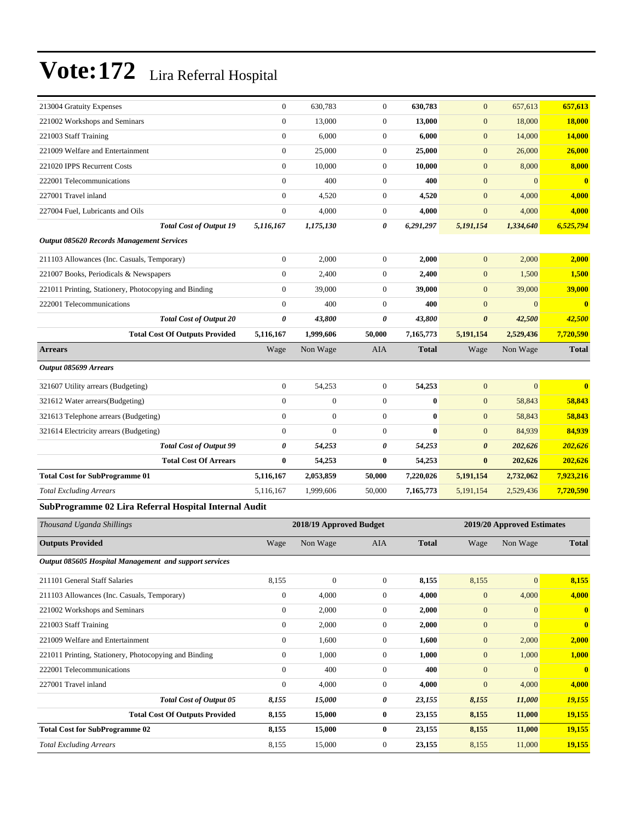| 213004 Gratuity Expenses                               | $\boldsymbol{0}$ | 630,783                 | $\boldsymbol{0}$      | 630,783      | $\mathbf{0}$          | 657,613                    | 657,613                 |
|--------------------------------------------------------|------------------|-------------------------|-----------------------|--------------|-----------------------|----------------------------|-------------------------|
| 221002 Workshops and Seminars                          | $\overline{0}$   | 13,000                  | $\theta$              | 13,000       | $\mathbf{0}$          | 18,000                     | 18,000                  |
| 221003 Staff Training                                  | $\boldsymbol{0}$ | 6,000                   | $\boldsymbol{0}$      | 6,000        | $\boldsymbol{0}$      | 14,000                     | 14,000                  |
| 221009 Welfare and Entertainment                       | $\boldsymbol{0}$ | 25,000                  | $\mathbf{0}$          | 25,000       | $\mathbf{0}$          | 26,000                     | 26,000                  |
| 221020 IPPS Recurrent Costs                            | $\overline{0}$   | 10,000                  | $\theta$              | 10,000       | $\mathbf{0}$          | 8,000                      | 8,000                   |
| 222001 Telecommunications                              | $\overline{0}$   | 400                     | $\mathbf{0}$          | 400          | $\mathbf{0}$          | $\mathbf{0}$               | $\overline{\mathbf{0}}$ |
| 227001 Travel inland                                   | $\overline{0}$   | 4,520                   | $\overline{0}$        | 4,520        | $\mathbf{0}$          | 4,000                      | 4,000                   |
| 227004 Fuel, Lubricants and Oils                       | $\boldsymbol{0}$ | 4,000                   | $\mathbf{0}$          | 4,000        | $\boldsymbol{0}$      | 4,000                      | 4,000                   |
| <b>Total Cost of Output 19</b>                         | 5,116,167        | 1,175,130               | $\boldsymbol{\theta}$ | 6,291,297    | 5,191,154             | 1,334,640                  | 6,525,794               |
| <b>Output 085620 Records Management Services</b>       |                  |                         |                       |              |                       |                            |                         |
| 211103 Allowances (Inc. Casuals, Temporary)            | $\mathbf{0}$     | 2,000                   | $\overline{0}$        | 2,000        | $\mathbf{0}$          | 2,000                      | 2,000                   |
| 221007 Books, Periodicals & Newspapers                 | $\overline{0}$   | 2,400                   | $\overline{0}$        | 2,400        | $\mathbf{0}$          | 1,500                      | 1,500                   |
| 221011 Printing, Stationery, Photocopying and Binding  | $\boldsymbol{0}$ | 39,000                  | $\boldsymbol{0}$      | 39,000       | $\boldsymbol{0}$      | 39,000                     | 39,000                  |
| 222001 Telecommunications                              | $\overline{0}$   | 400                     | $\theta$              | 400          | $\overline{0}$        | $\mathbf{0}$               | $\overline{\mathbf{0}}$ |
| <b>Total Cost of Output 20</b>                         | 0                | 43,800                  | $\pmb{\theta}$        | 43,800       | $\boldsymbol{\theta}$ | 42,500                     | 42,500                  |
| <b>Total Cost Of Outputs Provided</b>                  | 5,116,167        | 1,999,606               | 50,000                | 7,165,773    | 5,191,154             | 2,529,436                  | 7,720,590               |
| <b>Arrears</b>                                         | Wage             | Non Wage                | AIA                   | <b>Total</b> | Wage                  | Non Wage                   | <b>Total</b>            |
| Output 085699 Arrears                                  |                  |                         |                       |              |                       |                            |                         |
|                                                        |                  |                         |                       |              |                       |                            |                         |
| 321607 Utility arrears (Budgeting)                     | $\boldsymbol{0}$ | 54,253                  | $\mathbf{0}$          | 54,253       | $\mathbf{0}$          | $\mathbf{0}$               | $\overline{\mathbf{0}}$ |
| 321612 Water arrears(Budgeting)                        | $\overline{0}$   | $\mathbf{0}$            | $\overline{0}$        | $\mathbf{0}$ | $\mathbf{0}$          | 58,843                     | 58,843                  |
| 321613 Telephone arrears (Budgeting)                   | $\boldsymbol{0}$ | $\boldsymbol{0}$        | $\mathbf{0}$          | $\bf{0}$     | $\mathbf{0}$          | 58,843                     | 58,843                  |
| 321614 Electricity arrears (Budgeting)                 | $\overline{0}$   | $\mathbf{0}$            | $\theta$              | $\bf{0}$     | $\mathbf{0}$          | 84,939                     | 84,939                  |
| <b>Total Cost of Output 99</b>                         | 0                | 54,253                  | 0                     | 54,253       | $\boldsymbol{\theta}$ | 202,626                    | 202,626                 |
| <b>Total Cost Of Arrears</b>                           | $\bf{0}$         | 54,253                  | $\bf{0}$              | 54,253       | $\bf{0}$              | 202,626                    | 202,626                 |
| <b>Total Cost for SubProgramme 01</b>                  | 5,116,167        | 2,053,859               | 50,000                | 7,220,026    | 5,191,154             | 2,732,062                  | 7,923,216               |
| <b>Total Excluding Arrears</b>                         | 5,116,167        | 1,999,606               | 50,000                | 7,165,773    | 5,191,154             | 2,529,436                  | 7,720,590               |
| SubProgramme 02 Lira Referral Hospital Internal Audit  |                  |                         |                       |              |                       |                            |                         |
| Thousand Uganda Shillings                              |                  | 2018/19 Approved Budget |                       |              |                       | 2019/20 Approved Estimates |                         |
| <b>Outputs Provided</b>                                | Wage             | Non Wage                | AIA                   | <b>Total</b> | Wage                  | Non Wage                   | <b>Total</b>            |
| Output 085605 Hospital Management and support services |                  |                         |                       |              |                       |                            |                         |

| 211101 General Staff Salaries                         | 8,155          | $\mathbf{0}$ | $\mathbf{0}$   | 8,155  | 8,155          | $\mathbf{0}$ | 8,155    |
|-------------------------------------------------------|----------------|--------------|----------------|--------|----------------|--------------|----------|
| 211103 Allowances (Inc. Casuals, Temporary)           | $\theta$       | 4,000        | $\mathbf{0}$   | 4,000  | $\overline{0}$ | 4,000        | 4,000    |
| 221002 Workshops and Seminars                         | $\mathbf{0}$   | 2,000        | $\overline{0}$ | 2,000  | $\overline{0}$ | $\Omega$     | $\bf{0}$ |
| 221003 Staff Training                                 | $\theta$       | 2,000        | $\mathbf{0}$   | 2,000  | $\overline{0}$ | $\mathbf{0}$ | $\bf{0}$ |
| 221009 Welfare and Entertainment                      | $\mathbf{0}$   | 1,600        | $\mathbf{0}$   | 1,600  | $\overline{0}$ | 2,000        | 2,000    |
| 221011 Printing, Stationery, Photocopying and Binding | $\overline{0}$ | 1,000        | $\mathbf{0}$   | 1,000  | $\overline{0}$ | 1,000        | 1,000    |
| 222001 Telecommunications                             | $\Omega$       | 400          | $\mathbf{0}$   | 400    | $\overline{0}$ | $\Omega$     | $\bf{0}$ |
| 227001 Travel inland                                  | $\mathbf{0}$   | 4,000        | $\mathbf{0}$   | 4,000  | $\overline{0}$ | 4,000        | 4,000    |
| <b>Total Cost of Output 05</b>                        | 8,155          | 15,000       | 0              | 23,155 | 8,155          | 11,000       | 19,155   |
| <b>Total Cost Of Outputs Provided</b>                 | 8,155          | 15,000       | $\bf{0}$       | 23,155 | 8,155          | 11,000       | 19,155   |
| <b>Total Cost for SubProgramme 02</b>                 | 8,155          | 15,000       | $\bf{0}$       | 23,155 | 8,155          | 11,000       | 19,155   |
| <b>Total Excluding Arrears</b>                        | 8,155          | 15,000       | $\mathbf{0}$   | 23,155 | 8,155          | 11,000       | 19,155   |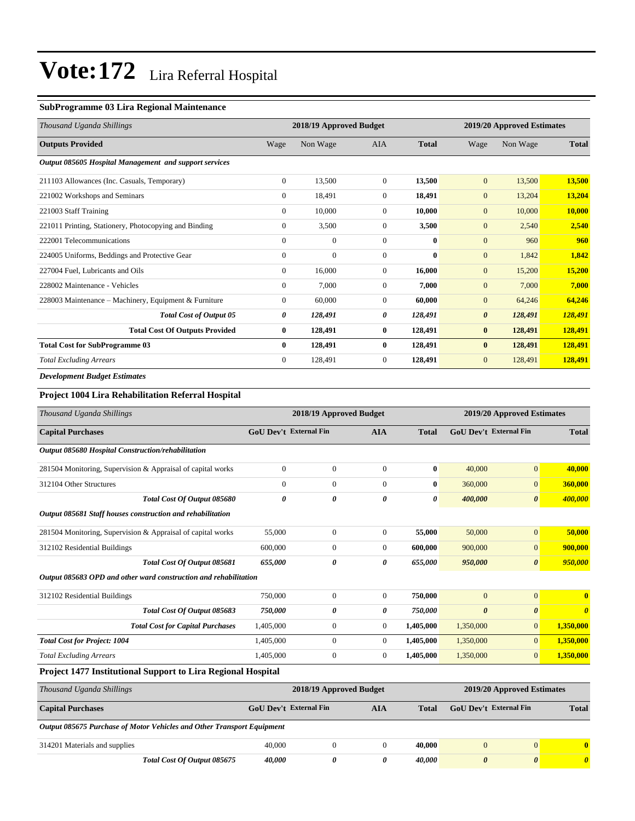### **SubProgramme 03 Lira Regional Maintenance**

| Thousand Uganda Shillings                              |                | 2018/19 Approved Budget |                |              |                       | 2019/20 Approved Estimates |              |
|--------------------------------------------------------|----------------|-------------------------|----------------|--------------|-----------------------|----------------------------|--------------|
| <b>Outputs Provided</b>                                | Wage           | Non Wage                | <b>AIA</b>     | <b>Total</b> | Wage                  | Non Wage                   | <b>Total</b> |
| Output 085605 Hospital Management and support services |                |                         |                |              |                       |                            |              |
| 211103 Allowances (Inc. Casuals, Temporary)            | $\overline{0}$ | 13,500                  | $\overline{0}$ | 13,500       | $\mathbf{0}$          | 13,500                     | 13,500       |
| 221002 Workshops and Seminars                          | $\overline{0}$ | 18,491                  | $\mathbf{0}$   | 18,491       | $\mathbf{0}$          | 13,204                     | 13,204       |
| 221003 Staff Training                                  | $\overline{0}$ | 10,000                  | $\Omega$       | 10,000       | $\overline{0}$        | 10,000                     | 10,000       |
| 221011 Printing, Stationery, Photocopying and Binding  | 0              | 3,500                   | $\mathbf{0}$   | 3,500        | $\mathbf{0}$          | 2,540                      | 2,540        |
| 222001 Telecommunications                              | $\mathbf{0}$   | $\mathbf{0}$            | $\mathbf{0}$   | $\bf{0}$     | $\mathbf{0}$          | 960                        | 960          |
| 224005 Uniforms, Beddings and Protective Gear          | $\Omega$       | $\mathbf{0}$            | $\mathbf{0}$   | $\bf{0}$     | $\mathbf{0}$          | 1,842                      | 1,842        |
| 227004 Fuel, Lubricants and Oils                       | $\overline{0}$ | 16,000                  | $\overline{0}$ | 16,000       | $\mathbf{0}$          | 15,200                     | 15,200       |
| 228002 Maintenance - Vehicles                          | $\overline{0}$ | 7,000                   | $\mathbf{0}$   | 7,000        | $\mathbf{0}$          | 7,000                      | 7,000        |
| 228003 Maintenance – Machinery, Equipment & Furniture  | $\overline{0}$ | 60,000                  | $\overline{0}$ | 60,000       | $\mathbf{0}$          | 64,246                     | 64,246       |
| <b>Total Cost of Output 05</b>                         | 0              | 128,491                 | 0              | 128,491      | $\boldsymbol{\theta}$ | 128,491                    | 128,491      |
| <b>Total Cost Of Outputs Provided</b>                  | $\mathbf{0}$   | 128,491                 | $\bf{0}$       | 128,491      | $\bf{0}$              | 128,491                    | 128,491      |
| <b>Total Cost for SubProgramme 03</b>                  | $\mathbf{0}$   | 128,491                 | $\bf{0}$       | 128,491      | $\bf{0}$              | 128,491                    | 128,491      |
| <b>Total Excluding Arrears</b>                         | $\overline{0}$ | 128,491                 | $\overline{0}$ | 128,491      | $\mathbf{0}$          | 128,491                    | 128,491      |
| <b>Development Budget Estimates</b>                    |                |                         |                |              |                       |                            |              |

### **Project 1004 Lira Rehabilitation Referral Hospital**

| Thousand Uganda Shillings                                              |                               | 2018/19 Approved Budget |                |              |                               | 2019/20 Approved Estimates |                         |
|------------------------------------------------------------------------|-------------------------------|-------------------------|----------------|--------------|-------------------------------|----------------------------|-------------------------|
| <b>Capital Purchases</b>                                               | <b>GoU Dev't External Fin</b> |                         | <b>AIA</b>     | <b>Total</b> | GoU Dev't External Fin        |                            | <b>Total</b>            |
| Output 085680 Hospital Construction/rehabilitation                     |                               |                         |                |              |                               |                            |                         |
| 281504 Monitoring, Supervision & Appraisal of capital works            | $\boldsymbol{0}$              | $\boldsymbol{0}$        | $\overline{0}$ | $\bf{0}$     | 40,000                        | $\overline{0}$             | 40,000                  |
| 312104 Other Structures                                                | $\overline{0}$                | $\boldsymbol{0}$        | $\overline{0}$ | $\bf{0}$     | 360,000                       | $\overline{0}$             | 360,000                 |
| Total Cost Of Output 085680                                            | 0                             | 0                       | 0              | 0            | 400,000                       | $\boldsymbol{\theta}$      | 400,000                 |
| Output 085681 Staff houses construction and rehabilitation             |                               |                         |                |              |                               |                            |                         |
| 281504 Monitoring, Supervision & Appraisal of capital works            | 55,000                        | $\overline{0}$          | $\overline{0}$ | 55,000       | 50,000                        | $\overline{0}$             | 50,000                  |
| 312102 Residential Buildings                                           | 600,000                       | $\mathbf{0}$            | $\overline{0}$ | 600,000      | 900,000                       | $\overline{0}$             | 900,000                 |
| Total Cost Of Output 085681                                            | 655,000                       | 0                       | 0              | 655,000      | 950,000                       | $\boldsymbol{\theta}$      | 950,000                 |
| Output 085683 OPD and other ward construction and rehabilitation       |                               |                         |                |              |                               |                            |                         |
| 312102 Residential Buildings                                           | 750,000                       | $\mathbf{0}$            | $\overline{0}$ | 750,000      | $\overline{0}$                | $\overline{0}$             | $\mathbf{0}$            |
| Total Cost Of Output 085683                                            | 750,000                       | 0                       | 0              | 750,000      | $\boldsymbol{\theta}$         | $\boldsymbol{\theta}$      | $\boldsymbol{\theta}$   |
| <b>Total Cost for Capital Purchases</b>                                | 1,405,000                     | $\boldsymbol{0}$        | $\overline{0}$ | 1,405,000    | 1,350,000                     | $\overline{0}$             | 1,350,000               |
| <b>Total Cost for Project: 1004</b>                                    | 1,405,000                     | $\mathbf{0}$            | $\overline{0}$ | 1,405,000    | 1,350,000                     | $\overline{0}$             | 1,350,000               |
| <b>Total Excluding Arrears</b>                                         | 1,405,000                     | $\boldsymbol{0}$        | $\overline{0}$ | 1,405,000    | 1,350,000                     | $\overline{0}$             | 1,350,000               |
| Project 1477 Institutional Support to Lira Regional Hospital           |                               |                         |                |              |                               |                            |                         |
| Thousand Uganda Shillings                                              |                               | 2018/19 Approved Budget |                |              |                               | 2019/20 Approved Estimates |                         |
| <b>Capital Purchases</b>                                               | <b>GoU Dev't External Fin</b> |                         | <b>AIA</b>     | <b>Total</b> | <b>GoU Dev't External Fin</b> |                            | <b>Total</b>            |
| Output 085675 Purchase of Motor Vehicles and Other Transport Equipment |                               |                         |                |              |                               |                            |                         |
| 314201 Materials and supplies                                          | 40,000                        | $\boldsymbol{0}$        | $\overline{0}$ | 40.000       | $\overline{0}$                | $\overline{0}$             | $\overline{\mathbf{0}}$ |
| Total Cost Of Output 085675                                            | 40,000                        | 0                       | 0              | 40,000       | $\boldsymbol{\theta}$         | $\boldsymbol{\theta}$      | $\boldsymbol{\theta}$   |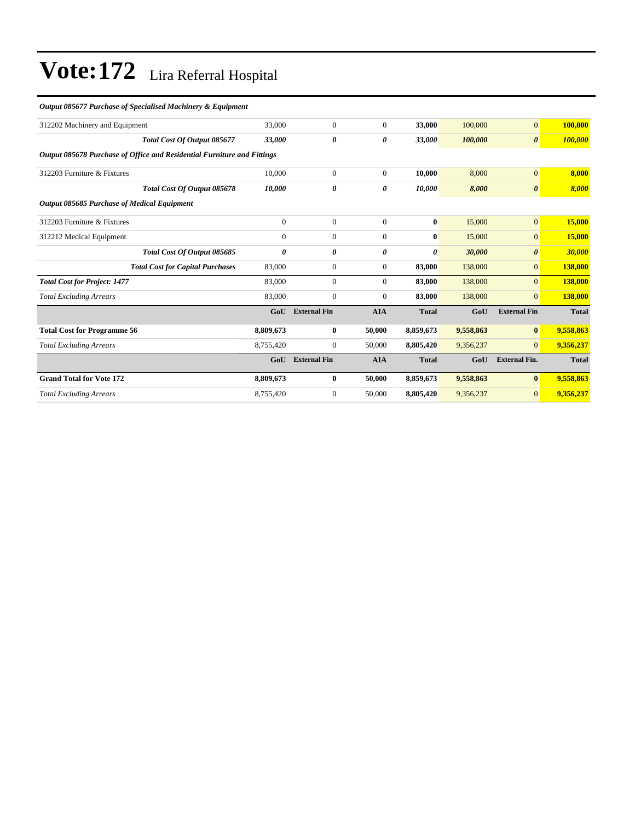#### *Output 085677 Purchase of Specialised Machinery & Equipment*

| 33,000                                                                  | $\mathbf{0}$        | $\theta$       | 33,000       | 100,000   | $\mathbf{0}$          | 100,000                                |
|-------------------------------------------------------------------------|---------------------|----------------|--------------|-----------|-----------------------|----------------------------------------|
| 33,000                                                                  | 0                   | 0              | 33,000       | 100,000   | $\boldsymbol{\theta}$ | 100,000                                |
| Output 085678 Purchase of Office and Residential Furniture and Fittings |                     |                |              |           |                       |                                        |
| 10,000                                                                  | $\boldsymbol{0}$    | $\overline{0}$ | 10,000       | 8,000     | $\mathbf{0}$          | 8,000                                  |
| 10,000                                                                  | 0                   | 0              | 10,000       | 8,000     | $\boldsymbol{\theta}$ | 8,000                                  |
|                                                                         |                     |                |              |           |                       |                                        |
| $\overline{0}$                                                          | $\overline{0}$      | $\theta$       | $\bf{0}$     | 15,000    | $\mathbf{0}$          | 15,000                                 |
| $\mathbf{0}$                                                            | $\boldsymbol{0}$    | $\theta$       | $\bf{0}$     | 15,000    | $\boldsymbol{0}$      | 15,000                                 |
| 0                                                                       | 0                   | 0              | 0            | 30,000    | $\boldsymbol{\theta}$ | 30,000                                 |
| 83,000                                                                  | $\boldsymbol{0}$    | $\overline{0}$ | 83,000       | 138,000   | $\mathbf{0}$          | 138,000                                |
| 83,000                                                                  | $\boldsymbol{0}$    | $\theta$       | 83,000       | 138,000   | $\overline{0}$        | 138,000                                |
| 83,000                                                                  | $\boldsymbol{0}$    | $\theta$       | 83,000       | 138,000   | $\mathbf{0}$          | 138,000                                |
| GoU                                                                     | <b>External Fin</b> | <b>AIA</b>     | <b>Total</b> | GoU       | <b>External Fin</b>   | <b>Total</b>                           |
| 8,809,673                                                               | 0                   | 50,000         | 8,859,673    | 9,558,863 |                       | 9,558,863                              |
| 8,755,420                                                               | $\boldsymbol{0}$    | 50,000         | 8,805,420    | 9,356,237 | $\mathbf{0}$          | 9,356,237                              |
| GoU                                                                     | <b>External Fin</b> | <b>AIA</b>     | <b>Total</b> | GoU       | <b>External Fin.</b>  | <b>Total</b>                           |
| 8,809,673                                                               | $\bf{0}$            | 50,000         | 8,859,673    | 9,558,863 |                       | 9,558,863                              |
| 8,755,420                                                               | $\overline{0}$      | 50,000         | 8,805,420    | 9,356,237 |                       | 9,356,237                              |
|                                                                         |                     |                |              |           |                       | $\bf{0}$<br>$\bf{0}$<br>$\overline{0}$ |